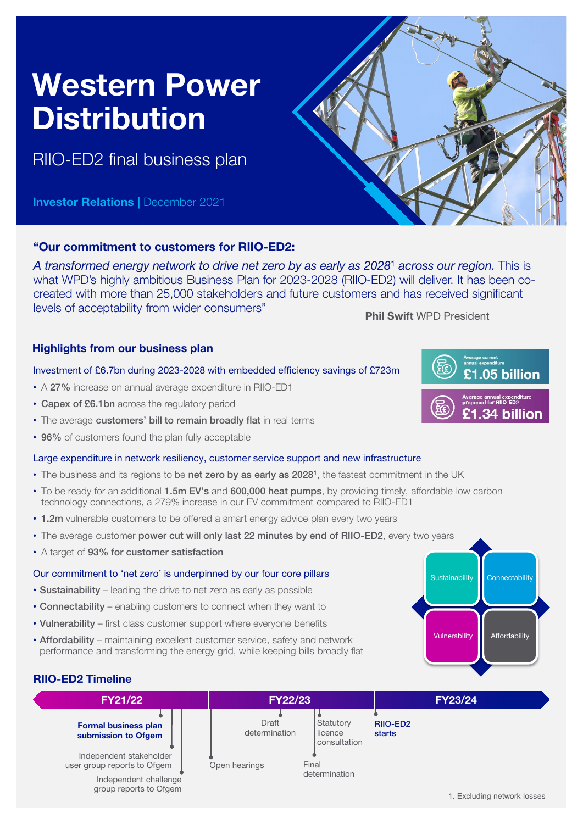# Western Power **Distribution**

RIIO-ED2 final business plan

**Investor Relations | December 2021** 



# "Our commitment to customers for RIIO-ED2:

*A transformed energy network to drive net zero by as early as 2028*<sup>1</sup> *across our region.* This is what WPD's highly ambitious Business Plan for 2023-2028 (RIIO-ED2) will deliver. It has been cocreated with more than 25,000 stakeholders and future customers and has received significant levels of acceptability from wider consumers" Phil Swift WPD President

## Highlights from our business plan

### Investment of £6.7bn during 2023-2028 with embedded efficiency savings of £723m

- A 27% increase on annual average expenditure in RIIO-ED1
- Capex of £6.1bn across the regulatory period
- The average customers' bill to remain broadly flat in real terms
- 96% of customers found the plan fully acceptable

#### Large expenditure in network resiliency, customer service support and new infrastructure

- The business and its regions to be net zero by as early as 2028<sup>1</sup>, the fastest commitment in the UK
- To be ready for an additional 1.5m EV's and 600,000 heat pumps, by providing timely, affordable low carbon technology connections, a 279% increase in our EV commitment compared to RIIO-ED1
- 1.2m vulnerable customers to be offered a smart energy advice plan every two years
- The average customer power cut will only last 22 minutes by end of RIIO-ED2, every two years
- A target of 93% for customer satisfaction

#### Our commitment to 'net zero' is underpinned by our four core pillars

- Sustainability leading the drive to net zero as early as possible
- Connectability enabling customers to connect when they want to
- Vulnerability first class customer support where everyone benefits
- Affordability maintaining excellent customer service, safety and network performance and transforming the energy grid, while keeping bills broadly flat







Sustainability **Connectability** 

Vulnerability **Affordability**